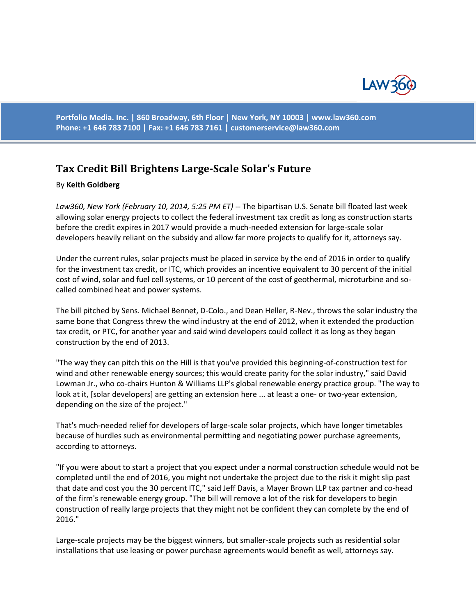

**Portfolio Media. Inc. | 860 Broadway, 6th Floor | New York, NY 10003 | www.law360.com Phone: +1 646 783 7100 | Fax: +1 646 783 7161 | [customerservice@law360.com](mailto:customerservice@law360.com)**

## **Tax Credit Bill Brightens Large-Scale Solar's Future**

## By **Keith Goldberg**

*Law360, New York (February 10, 2014, 5:25 PM ET)* -- The bipartisan U.S. Senate bill floated last week allowing solar energy projects to collect the federal investment tax credit as long as construction starts before the credit expires in 2017 would provide a much-needed extension for large-scale solar developers heavily reliant on the subsidy and allow far more projects to qualify for it, attorneys say.

Under the current rules, solar projects must be placed in service by the end of 2016 in order to qualify for the investment tax credit, or ITC, which provides an incentive equivalent to 30 percent of the initial cost of wind, solar and fuel cell systems, or 10 percent of the cost of geothermal, microturbine and socalled combined heat and power systems.

The bill pitched by Sens. Michael Bennet, D-Colo., and Dean Heller, R-Nev., throws the solar industry the same bone that Congress threw the wind industry at the end of 2012, when it extended the production tax credit, or PTC, for another year and said wind developers could collect it as long as they began construction by the end of 2013.

"The way they can pitch this on the Hill is that you've provided this beginning-of-construction test for wind and other renewable energy sources; this would create parity for the solar industry," said David Lowman Jr., who co-chairs Hunton & Williams LLP's global renewable energy practice group. "The way to look at it, [solar developers] are getting an extension here ... at least a one- or two-year extension, depending on the size of the project."

That's much-needed relief for developers of large-scale solar projects, which have longer timetables because of hurdles such as environmental permitting and negotiating power purchase agreements, according to attorneys.

"If you were about to start a project that you expect under a normal construction schedule would not be completed until the end of 2016, you might not undertake the project due to the risk it might slip past that date and cost you the 30 percent ITC," said Jeff Davis, a Mayer Brown LLP tax partner and co-head of the firm's renewable energy group. "The bill will remove a lot of the risk for developers to begin construction of really large projects that they might not be confident they can complete by the end of 2016."

Large-scale projects may be the biggest winners, but smaller-scale projects such as residential solar installations that use leasing or power purchase agreements would benefit as well, attorneys say.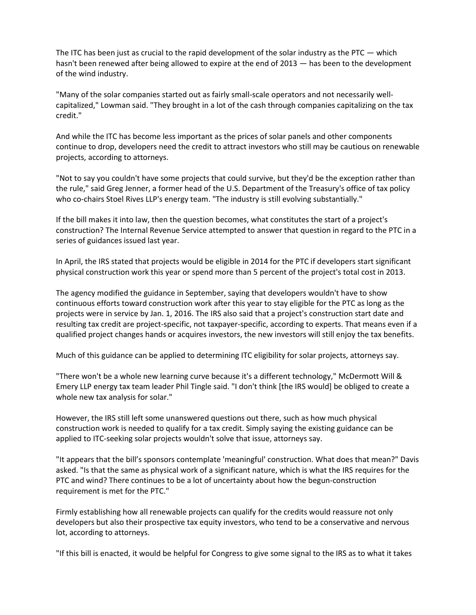The ITC has been just as crucial to the rapid development of the solar industry as the PTC — which hasn't been renewed after being allowed to expire at the end of 2013 — has been to the development of the wind industry.

"Many of the solar companies started out as fairly small-scale operators and not necessarily wellcapitalized," Lowman said. "They brought in a lot of the cash through companies capitalizing on the tax credit."

And while the ITC has become less important as the prices of solar panels and other components continue to drop, developers need the credit to attract investors who still may be cautious on renewable projects, according to attorneys.

"Not to say you couldn't have some projects that could survive, but they'd be the exception rather than the rule," said Greg Jenner, a former head of the U.S. Department of the Treasury's office of tax policy who co-chairs Stoel Rives LLP's energy team. "The industry is still evolving substantially."

If the bill makes it into law, then the question becomes, what constitutes the start of a project's construction? The Internal Revenue Service attempted to answer that question in regard to the PTC in a series of guidances issued last year.

In April, the IRS stated that projects would be eligible in 2014 for the PTC if developers start significant physical construction work this year or spend more than 5 percent of the project's total cost in 2013.

The agency modified the guidance in September, saying that developers wouldn't have to show continuous efforts toward construction work after this year to stay eligible for the PTC as long as the projects were in service by Jan. 1, 2016. The IRS also said that a project's construction start date and resulting tax credit are project-specific, not taxpayer-specific, according to experts. That means even if a qualified project changes hands or acquires investors, the new investors will still enjoy the tax benefits.

Much of this guidance can be applied to determining ITC eligibility for solar projects, attorneys say.

"There won't be a whole new learning curve because it's a different technology," McDermott Will & Emery LLP energy tax team leader Phil Tingle said. "I don't think [the IRS would] be obliged to create a whole new tax analysis for solar."

However, the IRS still left some unanswered questions out there, such as how much physical construction work is needed to qualify for a tax credit. Simply saying the existing guidance can be applied to ITC-seeking solar projects wouldn't solve that issue, attorneys say.

"It appears that the bill's sponsors contemplate 'meaningful' construction. What does that mean?" Davis asked. "Is that the same as physical work of a significant nature, which is what the IRS requires for the PTC and wind? There continues to be a lot of uncertainty about how the begun-construction requirement is met for the PTC."

Firmly establishing how all renewable projects can qualify for the credits would reassure not only developers but also their prospective tax equity investors, who tend to be a conservative and nervous lot, according to attorneys.

"If this bill is enacted, it would be helpful for Congress to give some signal to the IRS as to what it takes